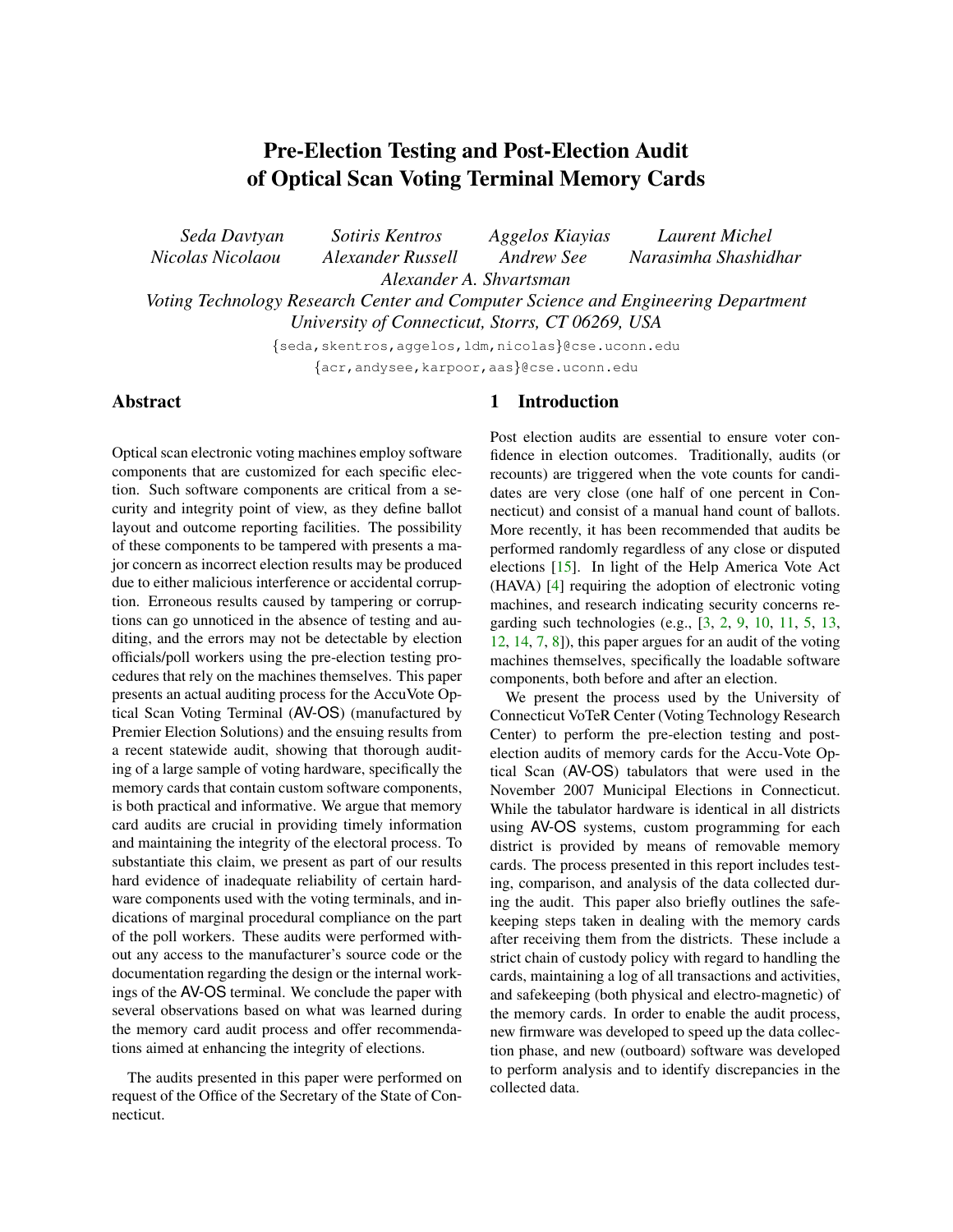# Pre-Election Testing and Post-Election Audit of Optical Scan Voting Terminal Memory Cards

*Seda Davtyan Sotiris Kentros Aggelos Kiayias Laurent Michel Nicolas Nicolaou Alexander Russell Andrew See Narasimha Shashidhar Alexander A. Shvartsman Voting Technology Research Center and Computer Science and Engineering Department*

*University of Connecticut, Storrs, CT 06269, USA*

{seda,skentros,aggelos,ldm,nicolas}@cse.uconn.edu {acr,andysee,karpoor,aas}@cse.uconn.edu

## Abstract

Optical scan electronic voting machines employ software components that are customized for each specific election. Such software components are critical from a security and integrity point of view, as they define ballot layout and outcome reporting facilities. The possibility of these components to be tampered with presents a major concern as incorrect election results may be produced due to either malicious interference or accidental corruption. Erroneous results caused by tampering or corruptions can go unnoticed in the absence of testing and auditing, and the errors may not be detectable by election officials/poll workers using the pre-election testing procedures that rely on the machines themselves. This paper presents an actual auditing process for the AccuVote Optical Scan Voting Terminal (AV-OS) (manufactured by Premier Election Solutions) and the ensuing results from a recent statewide audit, showing that thorough auditing of a large sample of voting hardware, specifically the memory cards that contain custom software components, is both practical and informative. We argue that memory card audits are crucial in providing timely information and maintaining the integrity of the electoral process. To substantiate this claim, we present as part of our results hard evidence of inadequate reliability of certain hardware components used with the voting terminals, and indications of marginal procedural compliance on the part of the poll workers. These audits were performed without any access to the manufacturer's source code or the documentation regarding the design or the internal workings of the AV-OS terminal. We conclude the paper with several observations based on what was learned during the memory card audit process and offer recommendations aimed at enhancing the integrity of elections.

The audits presented in this paper were performed on request of the Office of the Secretary of the State of Connecticut.

### 1 Introduction

Post election audits are essential to ensure voter confidence in election outcomes. Traditionally, audits (or recounts) are triggered when the vote counts for candidates are very close (one half of one percent in Connecticut) and consist of a manual hand count of ballots. More recently, it has been recommended that audits be performed randomly regardless of any close or disputed elections [\[15\]](#page-12-0). In light of the Help America Vote Act (HAVA) [\[4\]](#page-11-0) requiring the adoption of electronic voting machines, and research indicating security concerns regarding such technologies (e.g., [\[3,](#page-11-1) [2,](#page-11-2) [9,](#page-11-3) [10,](#page-11-4) [11,](#page-11-5) [5,](#page-11-6) [13,](#page-11-7) [12,](#page-11-8) [14,](#page-11-9) [7,](#page-11-10) [8\]](#page-11-11)), this paper argues for an audit of the voting machines themselves, specifically the loadable software components, both before and after an election.

We present the process used by the University of Connecticut VoTeR Center (Voting Technology Research Center) to perform the pre-election testing and postelection audits of memory cards for the Accu-Vote Optical Scan (AV-OS) tabulators that were used in the November 2007 Municipal Elections in Connecticut. While the tabulator hardware is identical in all districts using AV-OS systems, custom programming for each district is provided by means of removable memory cards. The process presented in this report includes testing, comparison, and analysis of the data collected during the audit. This paper also briefly outlines the safekeeping steps taken in dealing with the memory cards after receiving them from the districts. These include a strict chain of custody policy with regard to handling the cards, maintaining a log of all transactions and activities, and safekeeping (both physical and electro-magnetic) of the memory cards. In order to enable the audit process, new firmware was developed to speed up the data collection phase, and new (outboard) software was developed to perform analysis and to identify discrepancies in the collected data.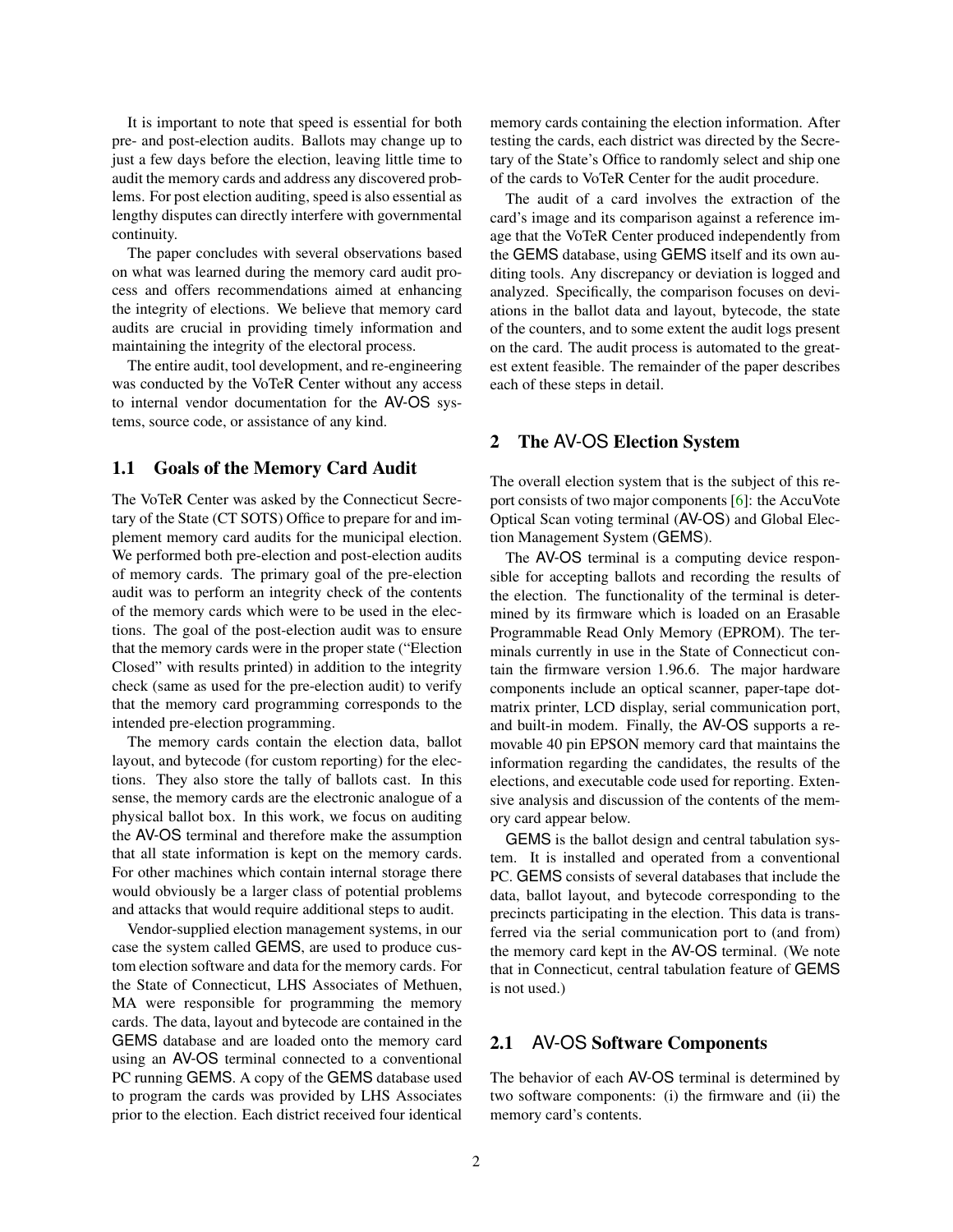It is important to note that speed is essential for both pre- and post-election audits. Ballots may change up to just a few days before the election, leaving little time to audit the memory cards and address any discovered problems. For post election auditing, speed is also essential as lengthy disputes can directly interfere with governmental continuity.

The paper concludes with several observations based on what was learned during the memory card audit process and offers recommendations aimed at enhancing the integrity of elections. We believe that memory card audits are crucial in providing timely information and maintaining the integrity of the electoral process.

The entire audit, tool development, and re-engineering was conducted by the VoTeR Center without any access to internal vendor documentation for the AV-OS systems, source code, or assistance of any kind.

### 1.1 Goals of the Memory Card Audit

The VoTeR Center was asked by the Connecticut Secretary of the State (CT SOTS) Office to prepare for and implement memory card audits for the municipal election. We performed both pre-election and post-election audits of memory cards. The primary goal of the pre-election audit was to perform an integrity check of the contents of the memory cards which were to be used in the elections. The goal of the post-election audit was to ensure that the memory cards were in the proper state ("Election Closed" with results printed) in addition to the integrity check (same as used for the pre-election audit) to verify that the memory card programming corresponds to the intended pre-election programming.

The memory cards contain the election data, ballot layout, and bytecode (for custom reporting) for the elections. They also store the tally of ballots cast. In this sense, the memory cards are the electronic analogue of a physical ballot box. In this work, we focus on auditing the AV-OS terminal and therefore make the assumption that all state information is kept on the memory cards. For other machines which contain internal storage there would obviously be a larger class of potential problems and attacks that would require additional steps to audit.

Vendor-supplied election management systems, in our case the system called GEMS, are used to produce custom election software and data for the memory cards. For the State of Connecticut, LHS Associates of Methuen, MA were responsible for programming the memory cards. The data, layout and bytecode are contained in the GEMS database and are loaded onto the memory card using an AV-OS terminal connected to a conventional PC running GEMS. A copy of the GEMS database used to program the cards was provided by LHS Associates prior to the election. Each district received four identical memory cards containing the election information. After testing the cards, each district was directed by the Secretary of the State's Office to randomly select and ship one of the cards to VoTeR Center for the audit procedure.

The audit of a card involves the extraction of the card's image and its comparison against a reference image that the VoTeR Center produced independently from the GEMS database, using GEMS itself and its own auditing tools. Any discrepancy or deviation is logged and analyzed. Specifically, the comparison focuses on deviations in the ballot data and layout, bytecode, the state of the counters, and to some extent the audit logs present on the card. The audit process is automated to the greatest extent feasible. The remainder of the paper describes each of these steps in detail.

#### <span id="page-1-0"></span>2 The AV-OS Election System

The overall election system that is the subject of this report consists of two major components [\[6\]](#page-11-12): the AccuVote Optical Scan voting terminal (AV-OS) and Global Election Management System (GEMS).

The AV-OS terminal is a computing device responsible for accepting ballots and recording the results of the election. The functionality of the terminal is determined by its firmware which is loaded on an Erasable Programmable Read Only Memory (EPROM). The terminals currently in use in the State of Connecticut contain the firmware version 1.96.6. The major hardware components include an optical scanner, paper-tape dotmatrix printer, LCD display, serial communication port, and built-in modem. Finally, the AV-OS supports a removable 40 pin EPSON memory card that maintains the information regarding the candidates, the results of the elections, and executable code used for reporting. Extensive analysis and discussion of the contents of the memory card appear below.

GEMS is the ballot design and central tabulation system. It is installed and operated from a conventional PC. GEMS consists of several databases that include the data, ballot layout, and bytecode corresponding to the precincts participating in the election. This data is transferred via the serial communication port to (and from) the memory card kept in the AV-OS terminal. (We note that in Connecticut, central tabulation feature of GEMS is not used.)

### 2.1 AV-OS Software Components

The behavior of each AV-OS terminal is determined by two software components: (i) the firmware and (ii) the memory card's contents.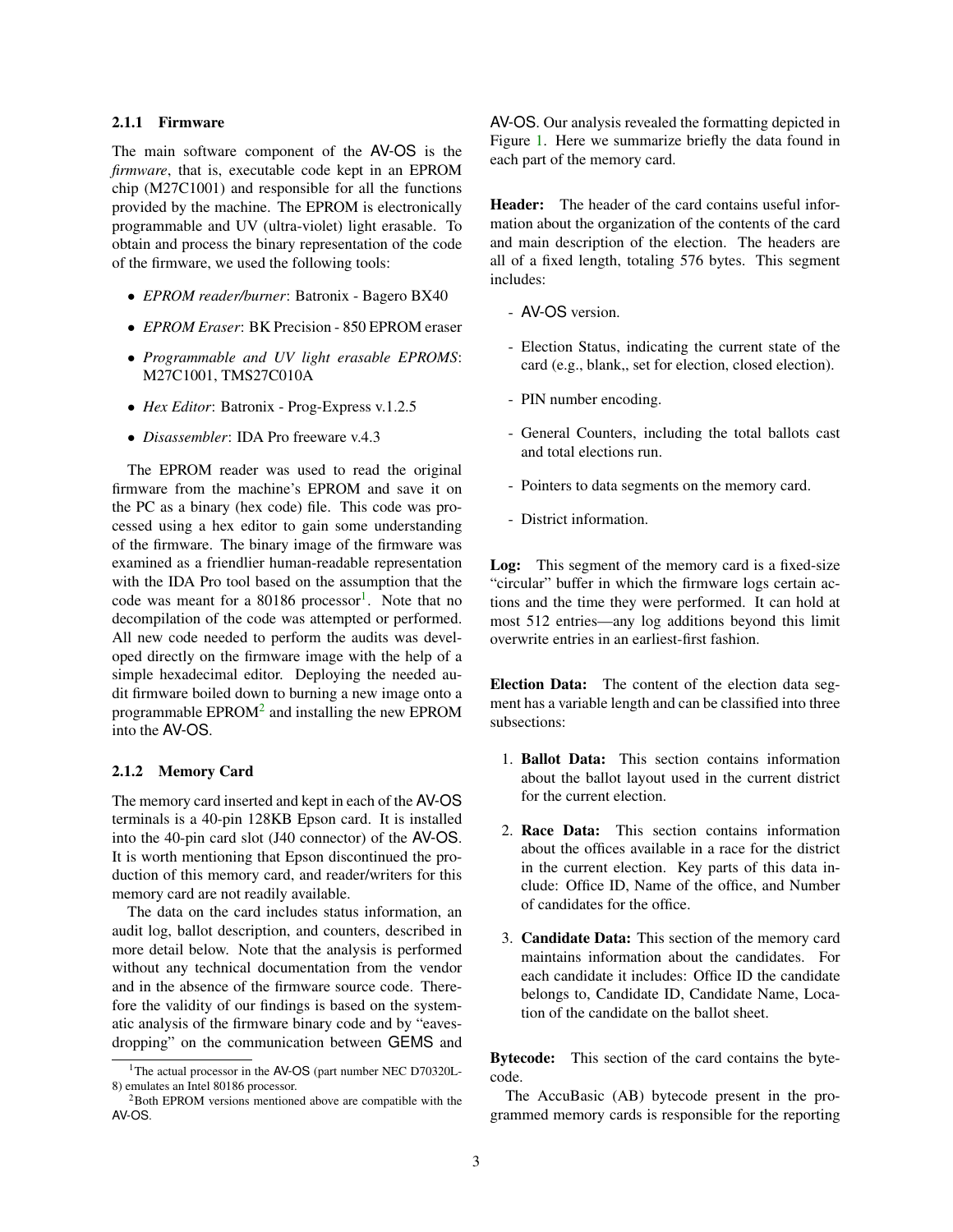#### 2.1.1 Firmware

The main software component of the AV-OS is the *firmware*, that is, executable code kept in an EPROM chip (M27C1001) and responsible for all the functions provided by the machine. The EPROM is electronically programmable and UV (ultra-violet) light erasable. To obtain and process the binary representation of the code of the firmware, we used the following tools:

- *EPROM reader/burner*: Batronix Bagero BX40
- *EPROM Eraser*: BK Precision 850 EPROM eraser
- *Programmable and UV light erasable EPROMS*: M27C1001, TMS27C010A
- *Hex Editor*: Batronix Prog-Express v.1.2.5
- *Disassembler*: IDA Pro freeware v.4.3

The EPROM reader was used to read the original firmware from the machine's EPROM and save it on the PC as a binary (hex code) file. This code was processed using a hex editor to gain some understanding of the firmware. The binary image of the firmware was examined as a friendlier human-readable representation with the IDA Pro tool based on the assumption that the code was meant for a 80[1](#page-2-0)86 processor<sup>1</sup>. Note that no decompilation of the code was attempted or performed. All new code needed to perform the audits was developed directly on the firmware image with the help of a simple hexadecimal editor. Deploying the needed audit firmware boiled down to burning a new image onto a programmable  $EPROM<sup>2</sup>$  $EPROM<sup>2</sup>$  $EPROM<sup>2</sup>$  and installing the new  $EPROM$ into the AV-OS.

#### 2.1.2 Memory Card

The memory card inserted and kept in each of the AV-OS terminals is a 40-pin 128KB Epson card. It is installed into the 40-pin card slot (J40 connector) of the AV-OS. It is worth mentioning that Epson discontinued the production of this memory card, and reader/writers for this memory card are not readily available.

The data on the card includes status information, an audit log, ballot description, and counters, described in more detail below. Note that the analysis is performed without any technical documentation from the vendor and in the absence of the firmware source code. Therefore the validity of our findings is based on the systematic analysis of the firmware binary code and by "eavesdropping" on the communication between GEMS and AV-OS. Our analysis revealed the formatting depicted in Figure [1.](#page-3-0) Here we summarize briefly the data found in each part of the memory card.

Header: The header of the card contains useful information about the organization of the contents of the card and main description of the election. The headers are all of a fixed length, totaling 576 bytes. This segment includes:

- AV-OS version.
- Election Status, indicating the current state of the card (e.g., blank,, set for election, closed election).
- PIN number encoding.
- General Counters, including the total ballots cast and total elections run.
- Pointers to data segments on the memory card.
- District information.

Log: This segment of the memory card is a fixed-size "circular" buffer in which the firmware logs certain actions and the time they were performed. It can hold at most 512 entries—any log additions beyond this limit overwrite entries in an earliest-first fashion.

Election Data: The content of the election data segment has a variable length and can be classified into three subsections:

- 1. Ballot Data: This section contains information about the ballot layout used in the current district for the current election.
- 2. Race Data: This section contains information about the offices available in a race for the district in the current election. Key parts of this data include: Office ID, Name of the office, and Number of candidates for the office.
- 3. Candidate Data: This section of the memory card maintains information about the candidates. For each candidate it includes: Office ID the candidate belongs to, Candidate ID, Candidate Name, Location of the candidate on the ballot sheet.

Bytecode: This section of the card contains the bytecode.

The AccuBasic (AB) bytecode present in the programmed memory cards is responsible for the reporting

<span id="page-2-0"></span><sup>&</sup>lt;sup>1</sup>The actual processor in the AV-OS (part number NEC D70320L-8) emulates an Intel 80186 processor.

<span id="page-2-1"></span><sup>2</sup>Both EPROM versions mentioned above are compatible with the AV-OS.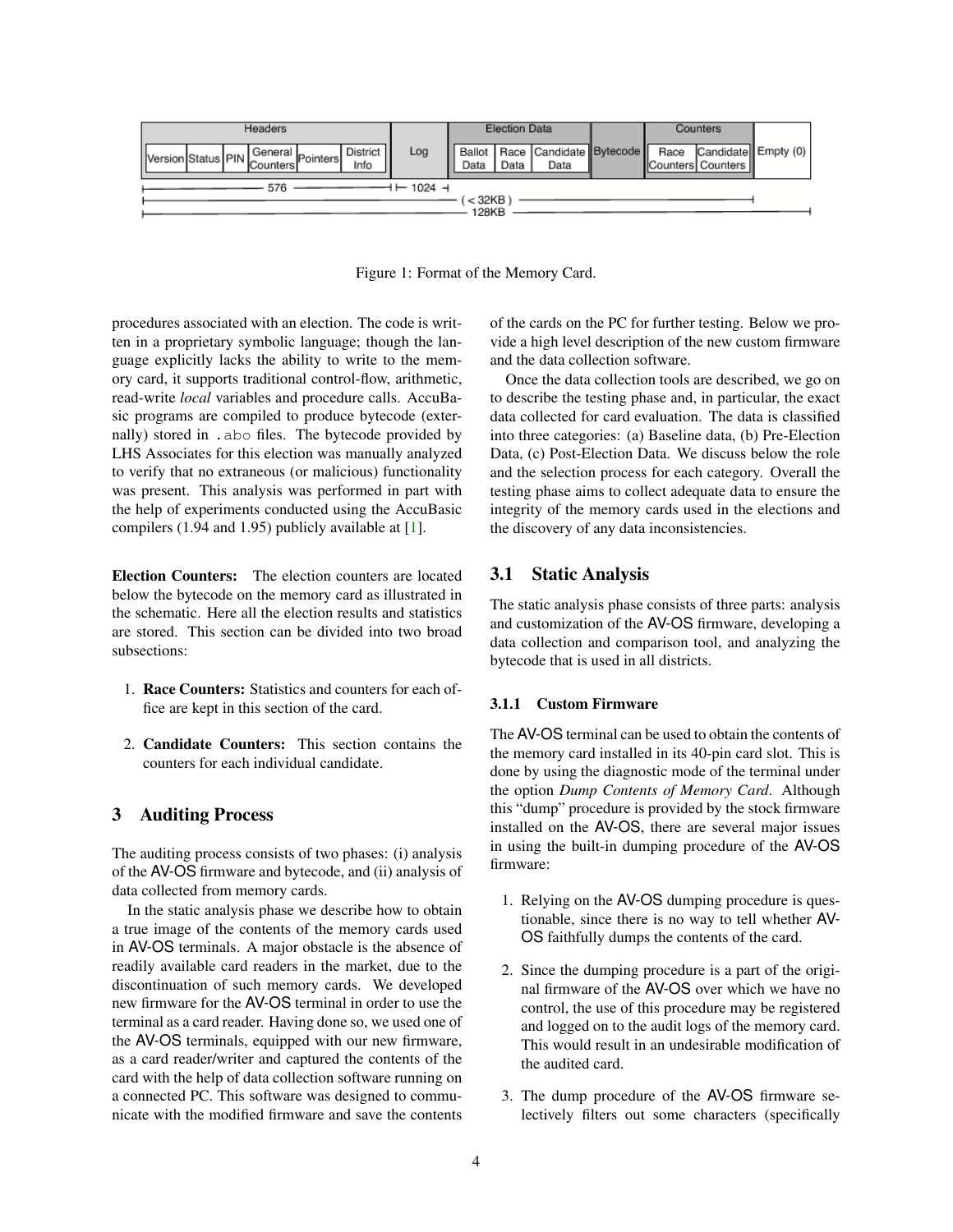

<span id="page-3-0"></span>Figure 1: Format of the Memory Card.

procedures associated with an election. The code is written in a proprietary symbolic language; though the language explicitly lacks the ability to write to the memory card, it supports traditional control-flow, arithmetic, read-write *local* variables and procedure calls. AccuBasic programs are compiled to produce bytecode (externally) stored in .abo files. The bytecode provided by LHS Associates for this election was manually analyzed to verify that no extraneous (or malicious) functionality was present. This analysis was performed in part with the help of experiments conducted using the AccuBasic compilers (1.94 and 1.95) publicly available at [\[1\]](#page-11-13).

Election Counters: The election counters are located below the bytecode on the memory card as illustrated in the schematic. Here all the election results and statistics are stored. This section can be divided into two broad subsections:

- 1. Race Counters: Statistics and counters for each office are kept in this section of the card.
- 2. Candidate Counters: This section contains the counters for each individual candidate.

### 3 Auditing Process

The auditing process consists of two phases: (i) analysis of the AV-OS firmware and bytecode, and (ii) analysis of data collected from memory cards.

In the static analysis phase we describe how to obtain a true image of the contents of the memory cards used in AV-OS terminals. A major obstacle is the absence of readily available card readers in the market, due to the discontinuation of such memory cards. We developed new firmware for the AV-OS terminal in order to use the terminal as a card reader. Having done so, we used one of the AV-OS terminals, equipped with our new firmware, as a card reader/writer and captured the contents of the card with the help of data collection software running on a connected PC. This software was designed to communicate with the modified firmware and save the contents of the cards on the PC for further testing. Below we provide a high level description of the new custom firmware and the data collection software.

Once the data collection tools are described, we go on to describe the testing phase and, in particular, the exact data collected for card evaluation. The data is classified into three categories: (a) Baseline data, (b) Pre-Election Data, (c) Post-Election Data. We discuss below the role and the selection process for each category. Overall the testing phase aims to collect adequate data to ensure the integrity of the memory cards used in the elections and the discovery of any data inconsistencies.

### 3.1 Static Analysis

The static analysis phase consists of three parts: analysis and customization of the AV-OS firmware, developing a data collection and comparison tool, and analyzing the bytecode that is used in all districts.

#### 3.1.1 Custom Firmware

The AV-OS terminal can be used to obtain the contents of the memory card installed in its 40-pin card slot. This is done by using the diagnostic mode of the terminal under the option *Dump Contents of Memory Card*. Although this "dump" procedure is provided by the stock firmware installed on the AV-OS, there are several major issues in using the built-in dumping procedure of the AV-OS firmware:

- 1. Relying on the AV-OS dumping procedure is questionable, since there is no way to tell whether AV-OS faithfully dumps the contents of the card.
- 2. Since the dumping procedure is a part of the original firmware of the AV-OS over which we have no control, the use of this procedure may be registered and logged on to the audit logs of the memory card. This would result in an undesirable modification of the audited card.
- 3. The dump procedure of the AV-OS firmware selectively filters out some characters (specifically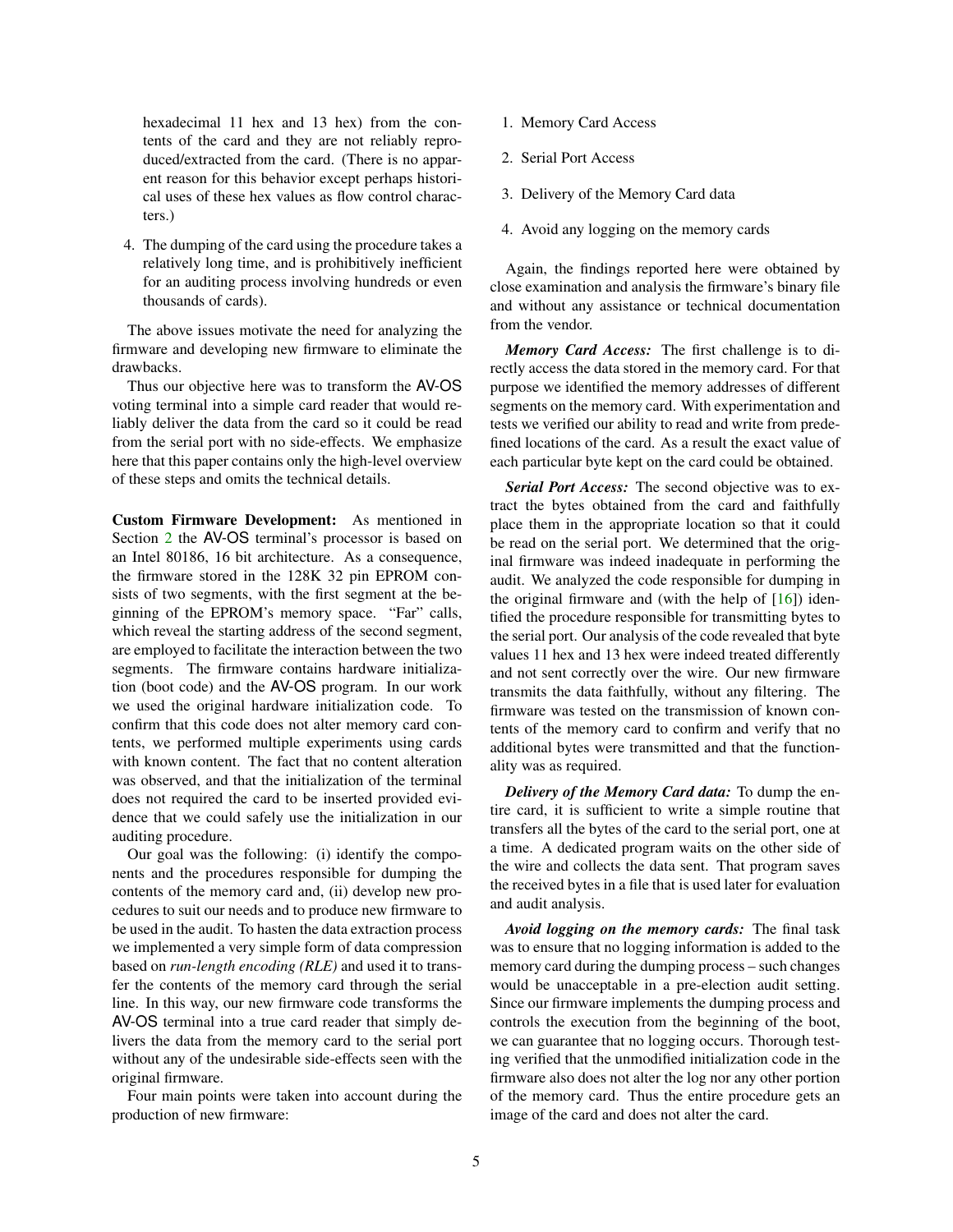hexadecimal 11 hex and 13 hex) from the contents of the card and they are not reliably reproduced/extracted from the card. (There is no apparent reason for this behavior except perhaps historical uses of these hex values as flow control characters.)

4. The dumping of the card using the procedure takes a relatively long time, and is prohibitively inefficient for an auditing process involving hundreds or even thousands of cards).

The above issues motivate the need for analyzing the firmware and developing new firmware to eliminate the drawbacks.

Thus our objective here was to transform the AV-OS voting terminal into a simple card reader that would reliably deliver the data from the card so it could be read from the serial port with no side-effects. We emphasize here that this paper contains only the high-level overview of these steps and omits the technical details.

Custom Firmware Development: As mentioned in Section [2](#page-1-0) the AV-OS terminal's processor is based on an Intel 80186, 16 bit architecture. As a consequence, the firmware stored in the 128K 32 pin EPROM consists of two segments, with the first segment at the beginning of the EPROM's memory space. "Far" calls, which reveal the starting address of the second segment, are employed to facilitate the interaction between the two segments. The firmware contains hardware initialization (boot code) and the AV-OS program. In our work we used the original hardware initialization code. To confirm that this code does not alter memory card contents, we performed multiple experiments using cards with known content. The fact that no content alteration was observed, and that the initialization of the terminal does not required the card to be inserted provided evidence that we could safely use the initialization in our auditing procedure.

Our goal was the following: (i) identify the components and the procedures responsible for dumping the contents of the memory card and, (ii) develop new procedures to suit our needs and to produce new firmware to be used in the audit. To hasten the data extraction process we implemented a very simple form of data compression based on *run-length encoding (RLE)* and used it to transfer the contents of the memory card through the serial line. In this way, our new firmware code transforms the AV-OS terminal into a true card reader that simply delivers the data from the memory card to the serial port without any of the undesirable side-effects seen with the original firmware.

Four main points were taken into account during the production of new firmware:

- 1. Memory Card Access
- 2. Serial Port Access
- 3. Delivery of the Memory Card data
- 4. Avoid any logging on the memory cards

Again, the findings reported here were obtained by close examination and analysis the firmware's binary file and without any assistance or technical documentation from the vendor.

*Memory Card Access:* The first challenge is to directly access the data stored in the memory card. For that purpose we identified the memory addresses of different segments on the memory card. With experimentation and tests we verified our ability to read and write from predefined locations of the card. As a result the exact value of each particular byte kept on the card could be obtained.

*Serial Port Access:* The second objective was to extract the bytes obtained from the card and faithfully place them in the appropriate location so that it could be read on the serial port. We determined that the original firmware was indeed inadequate in performing the audit. We analyzed the code responsible for dumping in the original firmware and (with the help of  $[16]$ ) identified the procedure responsible for transmitting bytes to the serial port. Our analysis of the code revealed that byte values 11 hex and 13 hex were indeed treated differently and not sent correctly over the wire. Our new firmware transmits the data faithfully, without any filtering. The firmware was tested on the transmission of known contents of the memory card to confirm and verify that no additional bytes were transmitted and that the functionality was as required.

*Delivery of the Memory Card data:* To dump the entire card, it is sufficient to write a simple routine that transfers all the bytes of the card to the serial port, one at a time. A dedicated program waits on the other side of the wire and collects the data sent. That program saves the received bytes in a file that is used later for evaluation and audit analysis.

*Avoid logging on the memory cards:* The final task was to ensure that no logging information is added to the memory card during the dumping process – such changes would be unacceptable in a pre-election audit setting. Since our firmware implements the dumping process and controls the execution from the beginning of the boot, we can guarantee that no logging occurs. Thorough testing verified that the unmodified initialization code in the firmware also does not alter the log nor any other portion of the memory card. Thus the entire procedure gets an image of the card and does not alter the card.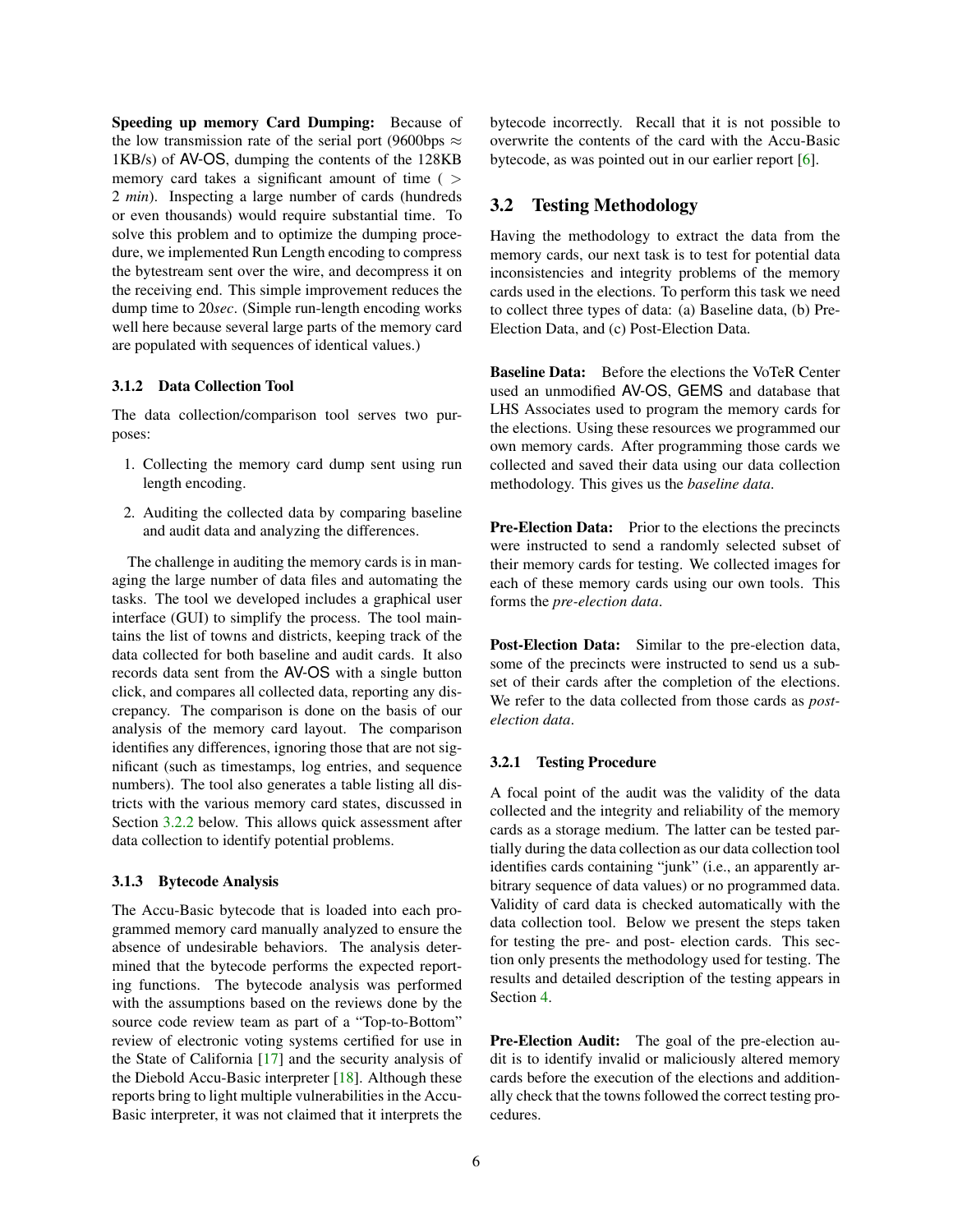Speeding up memory Card Dumping: Because of the low transmission rate of the serial port (9600bps  $\approx$ 1KB/s) of AV-OS, dumping the contents of the 128KB memory card takes a significant amount of time (  $>$ 2 *min*). Inspecting a large number of cards (hundreds or even thousands) would require substantial time. To solve this problem and to optimize the dumping procedure, we implemented Run Length encoding to compress the bytestream sent over the wire, and decompress it on the receiving end. This simple improvement reduces the dump time to 20*sec*. (Simple run-length encoding works well here because several large parts of the memory card are populated with sequences of identical values.)

#### 3.1.2 Data Collection Tool

The data collection/comparison tool serves two purposes:

- 1. Collecting the memory card dump sent using run length encoding.
- 2. Auditing the collected data by comparing baseline and audit data and analyzing the differences.

The challenge in auditing the memory cards is in managing the large number of data files and automating the tasks. The tool we developed includes a graphical user interface (GUI) to simplify the process. The tool maintains the list of towns and districts, keeping track of the data collected for both baseline and audit cards. It also records data sent from the AV-OS with a single button click, and compares all collected data, reporting any discrepancy. The comparison is done on the basis of our analysis of the memory card layout. The comparison identifies any differences, ignoring those that are not significant (such as timestamps, log entries, and sequence numbers). The tool also generates a table listing all districts with the various memory card states, discussed in Section [3.2.2](#page-6-0) below. This allows quick assessment after data collection to identify potential problems.

#### 3.1.3 Bytecode Analysis

The Accu-Basic bytecode that is loaded into each programmed memory card manually analyzed to ensure the absence of undesirable behaviors. The analysis determined that the bytecode performs the expected reporting functions. The bytecode analysis was performed with the assumptions based on the reviews done by the source code review team as part of a "Top-to-Bottom" review of electronic voting systems certified for use in the State of California [\[17\]](#page-12-2) and the security analysis of the Diebold Accu-Basic interpreter [\[18\]](#page-12-3). Although these reports bring to light multiple vulnerabilities in the Accu-Basic interpreter, it was not claimed that it interprets the bytecode incorrectly. Recall that it is not possible to overwrite the contents of the card with the Accu-Basic bytecode, as was pointed out in our earlier report [\[6\]](#page-11-12).

### 3.2 Testing Methodology

Having the methodology to extract the data from the memory cards, our next task is to test for potential data inconsistencies and integrity problems of the memory cards used in the elections. To perform this task we need to collect three types of data: (a) Baseline data, (b) Pre-Election Data, and (c) Post-Election Data.

Baseline Data: Before the elections the VoTeR Center used an unmodified AV-OS, GEMS and database that LHS Associates used to program the memory cards for the elections. Using these resources we programmed our own memory cards. After programming those cards we collected and saved their data using our data collection methodology. This gives us the *baseline data*.

Pre-Election Data: Prior to the elections the precincts were instructed to send a randomly selected subset of their memory cards for testing. We collected images for each of these memory cards using our own tools. This forms the *pre-election data*.

Post-Election Data: Similar to the pre-election data, some of the precincts were instructed to send us a subset of their cards after the completion of the elections. We refer to the data collected from those cards as *postelection data*.

#### 3.2.1 Testing Procedure

A focal point of the audit was the validity of the data collected and the integrity and reliability of the memory cards as a storage medium. The latter can be tested partially during the data collection as our data collection tool identifies cards containing "junk" (i.e., an apparently arbitrary sequence of data values) or no programmed data. Validity of card data is checked automatically with the data collection tool. Below we present the steps taken for testing the pre- and post- election cards. This section only presents the methodology used for testing. The results and detailed description of the testing appears in Section [4.](#page-7-0)

Pre-Election Audit: The goal of the pre-election audit is to identify invalid or maliciously altered memory cards before the execution of the elections and additionally check that the towns followed the correct testing procedures.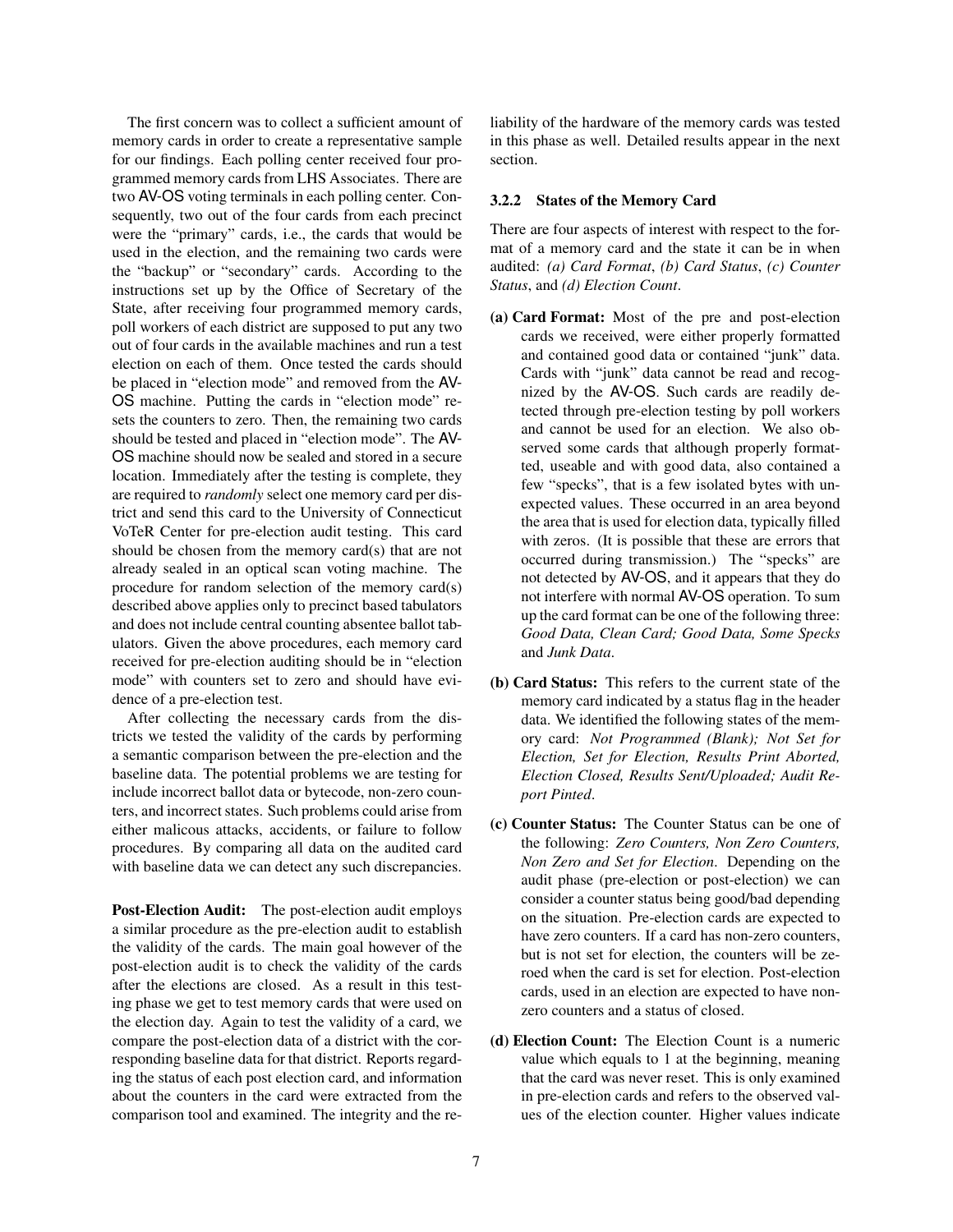The first concern was to collect a sufficient amount of memory cards in order to create a representative sample for our findings. Each polling center received four programmed memory cards from LHS Associates. There are two AV-OS voting terminals in each polling center. Consequently, two out of the four cards from each precinct were the "primary" cards, i.e., the cards that would be used in the election, and the remaining two cards were the "backup" or "secondary" cards. According to the instructions set up by the Office of Secretary of the State, after receiving four programmed memory cards, poll workers of each district are supposed to put any two out of four cards in the available machines and run a test election on each of them. Once tested the cards should be placed in "election mode" and removed from the AV-OS machine. Putting the cards in "election mode" resets the counters to zero. Then, the remaining two cards should be tested and placed in "election mode". The AV-OS machine should now be sealed and stored in a secure location. Immediately after the testing is complete, they are required to *randomly* select one memory card per district and send this card to the University of Connecticut VoTeR Center for pre-election audit testing. This card should be chosen from the memory card(s) that are not already sealed in an optical scan voting machine. The procedure for random selection of the memory card(s) described above applies only to precinct based tabulators and does not include central counting absentee ballot tabulators. Given the above procedures, each memory card received for pre-election auditing should be in "election mode" with counters set to zero and should have evidence of a pre-election test.

After collecting the necessary cards from the districts we tested the validity of the cards by performing a semantic comparison between the pre-election and the baseline data. The potential problems we are testing for include incorrect ballot data or bytecode, non-zero counters, and incorrect states. Such problems could arise from either malicous attacks, accidents, or failure to follow procedures. By comparing all data on the audited card with baseline data we can detect any such discrepancies.

Post-Election Audit: The post-election audit employs a similar procedure as the pre-election audit to establish the validity of the cards. The main goal however of the post-election audit is to check the validity of the cards after the elections are closed. As a result in this testing phase we get to test memory cards that were used on the election day. Again to test the validity of a card, we compare the post-election data of a district with the corresponding baseline data for that district. Reports regarding the status of each post election card, and information about the counters in the card were extracted from the comparison tool and examined. The integrity and the reliability of the hardware of the memory cards was tested in this phase as well. Detailed results appear in the next section.

#### <span id="page-6-0"></span>3.2.2 States of the Memory Card

There are four aspects of interest with respect to the format of a memory card and the state it can be in when audited: *(a) Card Format*, *(b) Card Status*, *(c) Counter Status*, and *(d) Election Count*.

- (a) Card Format: Most of the pre and post-election cards we received, were either properly formatted and contained good data or contained "junk" data. Cards with "junk" data cannot be read and recognized by the AV-OS. Such cards are readily detected through pre-election testing by poll workers and cannot be used for an election. We also observed some cards that although properly formatted, useable and with good data, also contained a few "specks", that is a few isolated bytes with unexpected values. These occurred in an area beyond the area that is used for election data, typically filled with zeros. (It is possible that these are errors that occurred during transmission.) The "specks" are not detected by AV-OS, and it appears that they do not interfere with normal AV-OS operation. To sum up the card format can be one of the following three: *Good Data, Clean Card; Good Data, Some Specks* and *Junk Data*.
- (b) Card Status: This refers to the current state of the memory card indicated by a status flag in the header data. We identified the following states of the memory card: *Not Programmed (Blank); Not Set for Election, Set for Election, Results Print Aborted, Election Closed, Results Sent/Uploaded; Audit Report Pinted*.
- (c) Counter Status: The Counter Status can be one of the following: *Zero Counters, Non Zero Counters, Non Zero and Set for Election*. Depending on the audit phase (pre-election or post-election) we can consider a counter status being good/bad depending on the situation. Pre-election cards are expected to have zero counters. If a card has non-zero counters, but is not set for election, the counters will be zeroed when the card is set for election. Post-election cards, used in an election are expected to have nonzero counters and a status of closed.
- (d) Election Count: The Election Count is a numeric value which equals to 1 at the beginning, meaning that the card was never reset. This is only examined in pre-election cards and refers to the observed values of the election counter. Higher values indicate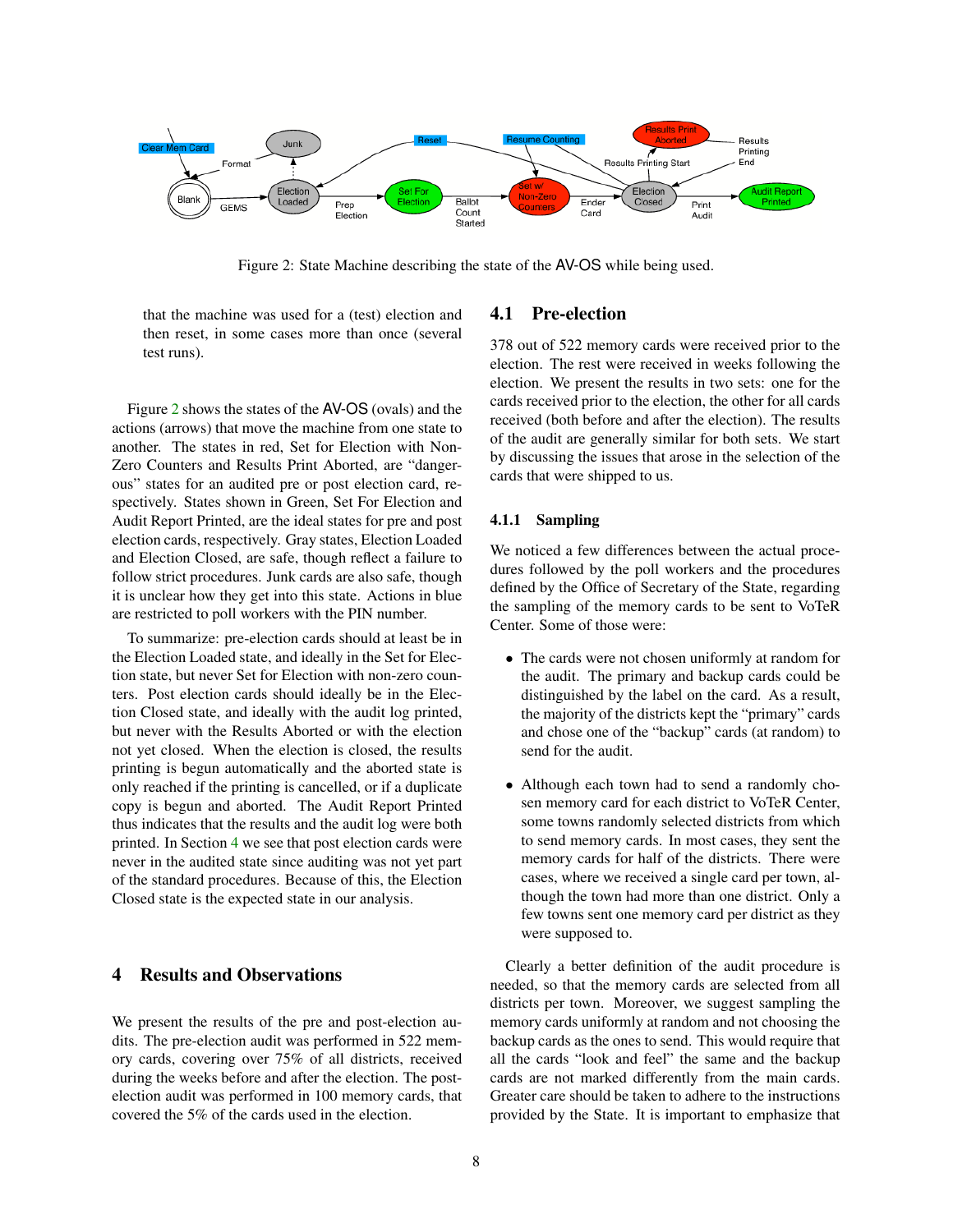

<span id="page-7-1"></span>Figure 2: State Machine describing the state of the AV-OS while being used.

that the machine was used for a (test) election and then reset, in some cases more than once (several test runs).

Figure [2](#page-7-1) shows the states of the AV-OS (ovals) and the actions (arrows) that move the machine from one state to another. The states in red, Set for Election with Non-Zero Counters and Results Print Aborted, are "dangerous" states for an audited pre or post election card, respectively. States shown in Green, Set For Election and Audit Report Printed, are the ideal states for pre and post election cards, respectively. Gray states, Election Loaded and Election Closed, are safe, though reflect a failure to follow strict procedures. Junk cards are also safe, though it is unclear how they get into this state. Actions in blue are restricted to poll workers with the PIN number.

To summarize: pre-election cards should at least be in the Election Loaded state, and ideally in the Set for Election state, but never Set for Election with non-zero counters. Post election cards should ideally be in the Election Closed state, and ideally with the audit log printed, but never with the Results Aborted or with the election not yet closed. When the election is closed, the results printing is begun automatically and the aborted state is only reached if the printing is cancelled, or if a duplicate copy is begun and aborted. The Audit Report Printed thus indicates that the results and the audit log were both printed. In Section [4](#page-7-0) we see that post election cards were never in the audited state since auditing was not yet part of the standard procedures. Because of this, the Election Closed state is the expected state in our analysis.

# <span id="page-7-0"></span>4 Results and Observations

We present the results of the pre and post-election audits. The pre-election audit was performed in 522 memory cards, covering over 75% of all districts, received during the weeks before and after the election. The postelection audit was performed in 100 memory cards, that covered the 5% of the cards used in the election.

### 4.1 Pre-election

378 out of 522 memory cards were received prior to the election. The rest were received in weeks following the election. We present the results in two sets: one for the cards received prior to the election, the other for all cards received (both before and after the election). The results of the audit are generally similar for both sets. We start by discussing the issues that arose in the selection of the cards that were shipped to us.

#### 4.1.1 Sampling

We noticed a few differences between the actual procedures followed by the poll workers and the procedures defined by the Office of Secretary of the State, regarding the sampling of the memory cards to be sent to VoTeR Center. Some of those were:

- The cards were not chosen uniformly at random for the audit. The primary and backup cards could be distinguished by the label on the card. As a result, the majority of the districts kept the "primary" cards and chose one of the "backup" cards (at random) to send for the audit.
- Although each town had to send a randomly chosen memory card for each district to VoTeR Center, some towns randomly selected districts from which to send memory cards. In most cases, they sent the memory cards for half of the districts. There were cases, where we received a single card per town, although the town had more than one district. Only a few towns sent one memory card per district as they were supposed to.

Clearly a better definition of the audit procedure is needed, so that the memory cards are selected from all districts per town. Moreover, we suggest sampling the memory cards uniformly at random and not choosing the backup cards as the ones to send. This would require that all the cards "look and feel" the same and the backup cards are not marked differently from the main cards. Greater care should be taken to adhere to the instructions provided by the State. It is important to emphasize that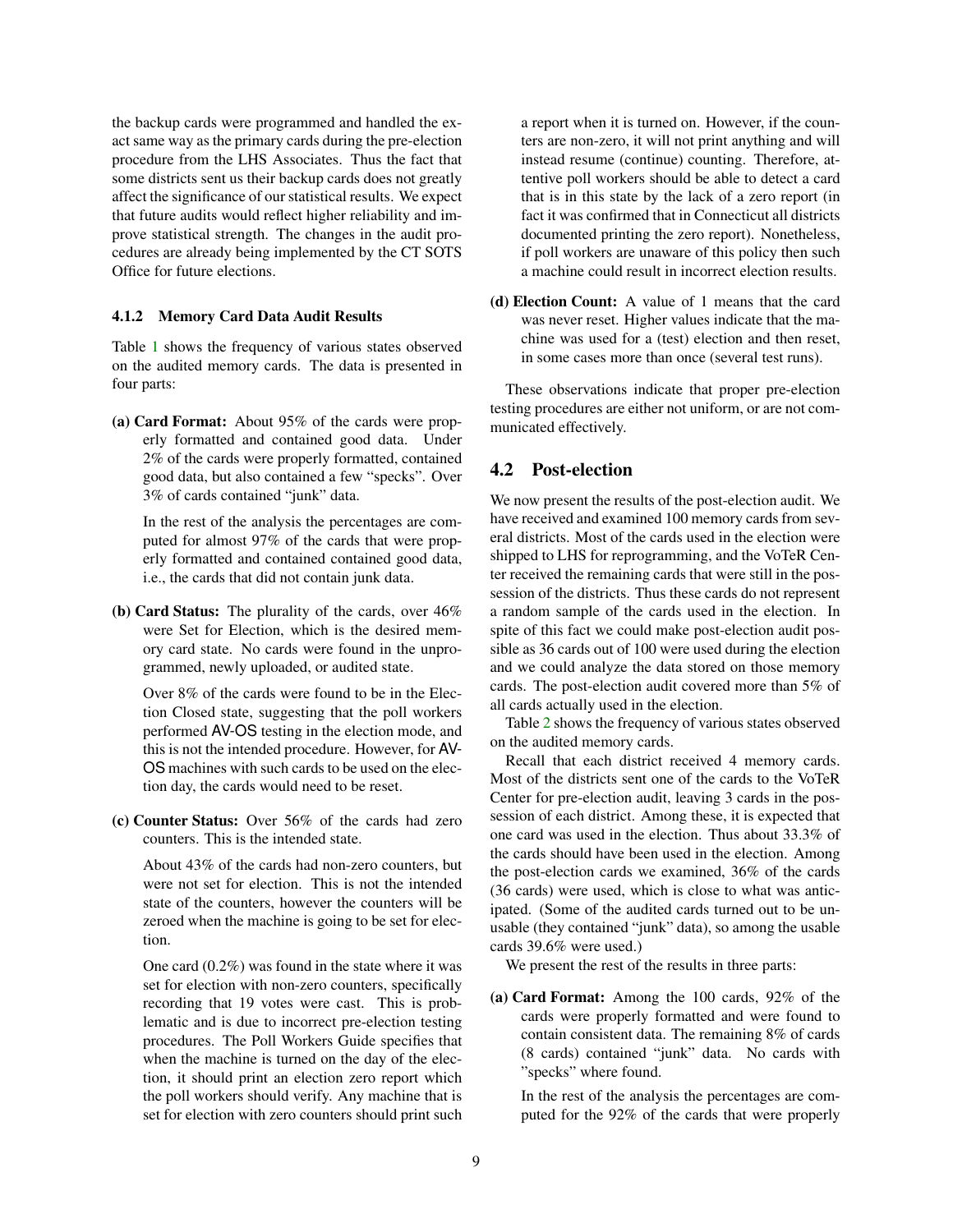the backup cards were programmed and handled the exact same way as the primary cards during the pre-election procedure from the LHS Associates. Thus the fact that some districts sent us their backup cards does not greatly affect the significance of our statistical results. We expect that future audits would reflect higher reliability and improve statistical strength. The changes in the audit procedures are already being implemented by the CT SOTS Office for future elections.

#### 4.1.2 Memory Card Data Audit Results

Table [1](#page-9-0) shows the frequency of various states observed on the audited memory cards. The data is presented in four parts:

(a) Card Format: About 95% of the cards were properly formatted and contained good data. Under 2% of the cards were properly formatted, contained good data, but also contained a few "specks". Over 3% of cards contained "junk" data.

In the rest of the analysis the percentages are computed for almost 97% of the cards that were properly formatted and contained contained good data, i.e., the cards that did not contain junk data.

(b) Card Status: The plurality of the cards, over 46% were Set for Election, which is the desired memory card state. No cards were found in the unprogrammed, newly uploaded, or audited state.

Over 8% of the cards were found to be in the Election Closed state, suggesting that the poll workers performed AV-OS testing in the election mode, and this is not the intended procedure. However, for AV-OS machines with such cards to be used on the election day, the cards would need to be reset.

(c) Counter Status: Over 56% of the cards had zero counters. This is the intended state.

About 43% of the cards had non-zero counters, but were not set for election. This is not the intended state of the counters, however the counters will be zeroed when the machine is going to be set for election.

One card (0.2%) was found in the state where it was set for election with non-zero counters, specifically recording that 19 votes were cast. This is problematic and is due to incorrect pre-election testing procedures. The Poll Workers Guide specifies that when the machine is turned on the day of the election, it should print an election zero report which the poll workers should verify. Any machine that is set for election with zero counters should print such a report when it is turned on. However, if the counters are non-zero, it will not print anything and will instead resume (continue) counting. Therefore, attentive poll workers should be able to detect a card that is in this state by the lack of a zero report (in fact it was confirmed that in Connecticut all districts documented printing the zero report). Nonetheless, if poll workers are unaware of this policy then such a machine could result in incorrect election results.

(d) Election Count: A value of 1 means that the card was never reset. Higher values indicate that the machine was used for a (test) election and then reset, in some cases more than once (several test runs).

These observations indicate that proper pre-election testing procedures are either not uniform, or are not communicated effectively.

# 4.2 Post-election

We now present the results of the post-election audit. We have received and examined 100 memory cards from several districts. Most of the cards used in the election were shipped to LHS for reprogramming, and the VoTeR Center received the remaining cards that were still in the possession of the districts. Thus these cards do not represent a random sample of the cards used in the election. In spite of this fact we could make post-election audit possible as 36 cards out of 100 were used during the election and we could analyze the data stored on those memory cards. The post-election audit covered more than 5% of all cards actually used in the election.

Table [2](#page-10-0) shows the frequency of various states observed on the audited memory cards.

Recall that each district received 4 memory cards. Most of the districts sent one of the cards to the VoTeR Center for pre-election audit, leaving 3 cards in the possession of each district. Among these, it is expected that one card was used in the election. Thus about 33.3% of the cards should have been used in the election. Among the post-election cards we examined, 36% of the cards (36 cards) were used, which is close to what was anticipated. (Some of the audited cards turned out to be unusable (they contained "junk" data), so among the usable cards 39.6% were used.)

We present the rest of the results in three parts:

(a) Card Format: Among the 100 cards, 92% of the cards were properly formatted and were found to contain consistent data. The remaining 8% of cards (8 cards) contained "junk" data. No cards with "specks" where found.

In the rest of the analysis the percentages are computed for the 92% of the cards that were properly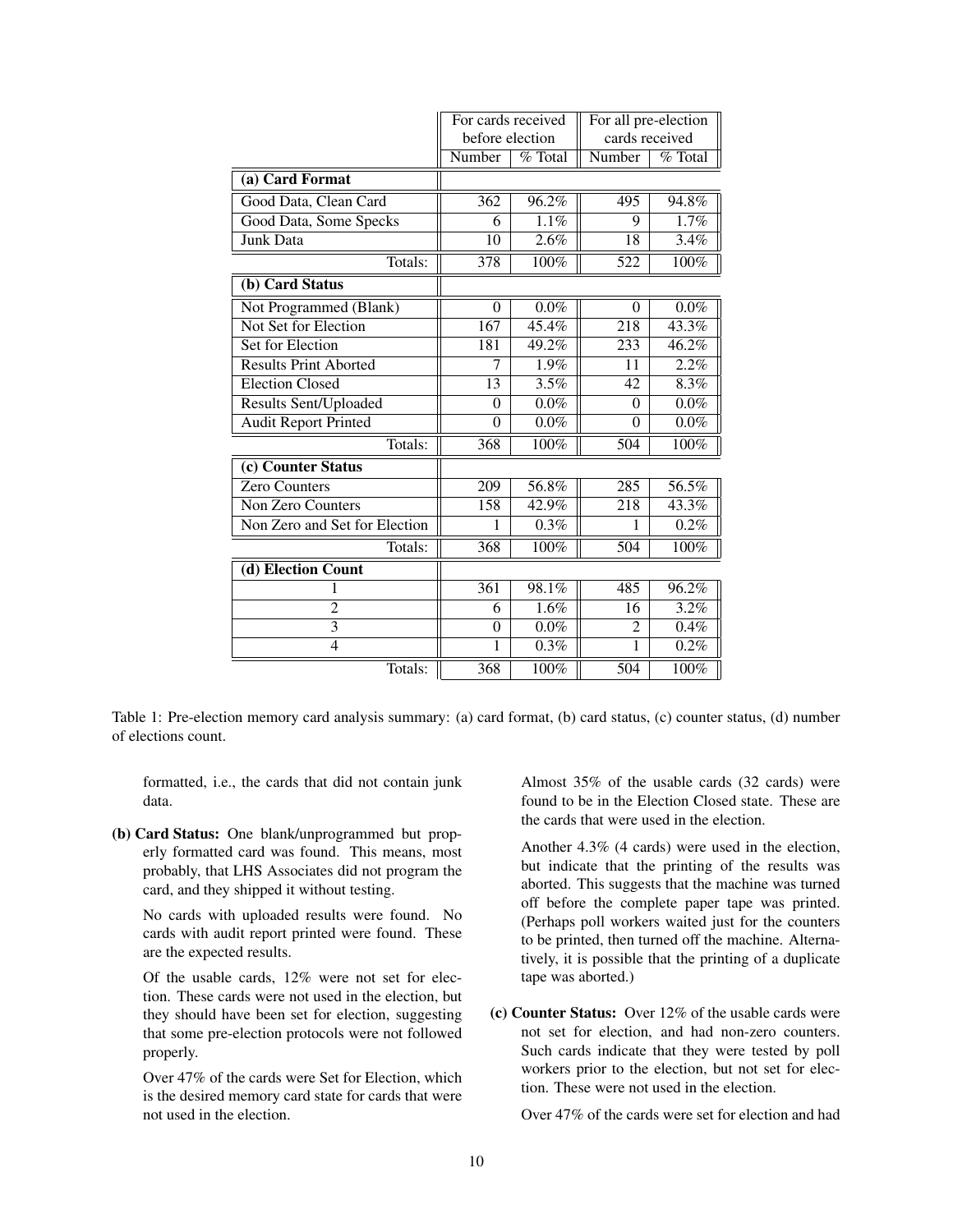|                               | For cards received<br>before election |         | For all pre-election<br>cards received |         |
|-------------------------------|---------------------------------------|---------|----------------------------------------|---------|
|                               | Number                                | % Total | Number                                 | % Total |
| (a) Card Format               |                                       |         |                                        |         |
| Good Data, Clean Card         | 362                                   | 96.2%   | 495                                    | 94.8%   |
| Good Data, Some Specks        | 6                                     | 1.1%    | 9                                      | 1.7%    |
| Junk Data                     | 10                                    | 2.6%    | 18                                     | 3.4%    |
| Totals:                       | 378                                   | 100%    | 522                                    | 100%    |
| (b) Card Status               |                                       |         |                                        |         |
| Not Programmed (Blank)        | $\theta$                              | $0.0\%$ | $\theta$                               | $0.0\%$ |
| <b>Not Set for Election</b>   | $\overline{167}$                      | 45.4%   | $\overline{218}$                       | 43.3%   |
| Set for Election              | 181                                   | 49.2%   | 233                                    | 46.2%   |
| <b>Results Print Aborted</b>  | 7                                     | 1.9%    | 11                                     | 2.2%    |
| <b>Election Closed</b>        | 13                                    | 3.5%    | 42                                     | 8.3%    |
| <b>Results Sent/Uploaded</b>  | $\mathbf{0}$                          | $0.0\%$ | $\theta$                               | $0.0\%$ |
| <b>Audit Report Printed</b>   | $\theta$                              | $0.0\%$ | $\theta$                               | $0.0\%$ |
| Totals:                       | 368                                   | 100%    | 504                                    | 100%    |
| (c) Counter Status            |                                       |         |                                        |         |
| <b>Zero Counters</b>          | 209                                   | 56.8%   | 285                                    | 56.5%   |
| Non Zero Counters             | 158                                   | 42.9%   | 218                                    | 43.3%   |
| Non Zero and Set for Election | 1                                     | 0.3%    | 1                                      | 0.2%    |
| Totals:                       | 368                                   | 100%    | 504                                    | 100%    |
| (d) Election Count            |                                       |         |                                        |         |
| 1                             | 361                                   | 98.1%   | 485                                    | 96.2%   |
| $\overline{2}$                | 6                                     | 1.6%    | 16                                     | 3.2%    |
| $\overline{3}$                | $\mathbf{0}$                          | $0.0\%$ | 2                                      | 0.4%    |
| $\overline{4}$                | 1                                     | 0.3%    | $\mathbf{1}$                           | 0.2%    |
| Totals:                       | 368                                   | 100%    | 504                                    | 100%    |

<span id="page-9-0"></span>Table 1: Pre-election memory card analysis summary: (a) card format, (b) card status, (c) counter status, (d) number of elections count.

formatted, i.e., the cards that did not contain junk data.

(b) Card Status: One blank/unprogrammed but properly formatted card was found. This means, most probably, that LHS Associates did not program the card, and they shipped it without testing.

No cards with uploaded results were found. No cards with audit report printed were found. These are the expected results.

Of the usable cards, 12% were not set for election. These cards were not used in the election, but they should have been set for election, suggesting that some pre-election protocols were not followed properly.

Over 47% of the cards were Set for Election, which is the desired memory card state for cards that were not used in the election.

Almost 35% of the usable cards (32 cards) were found to be in the Election Closed state. These are the cards that were used in the election.

Another 4.3% (4 cards) were used in the election, but indicate that the printing of the results was aborted. This suggests that the machine was turned off before the complete paper tape was printed. (Perhaps poll workers waited just for the counters to be printed, then turned off the machine. Alternatively, it is possible that the printing of a duplicate tape was aborted.)

(c) Counter Status: Over 12% of the usable cards were not set for election, and had non-zero counters. Such cards indicate that they were tested by poll workers prior to the election, but not set for election. These were not used in the election.

Over 47% of the cards were set for election and had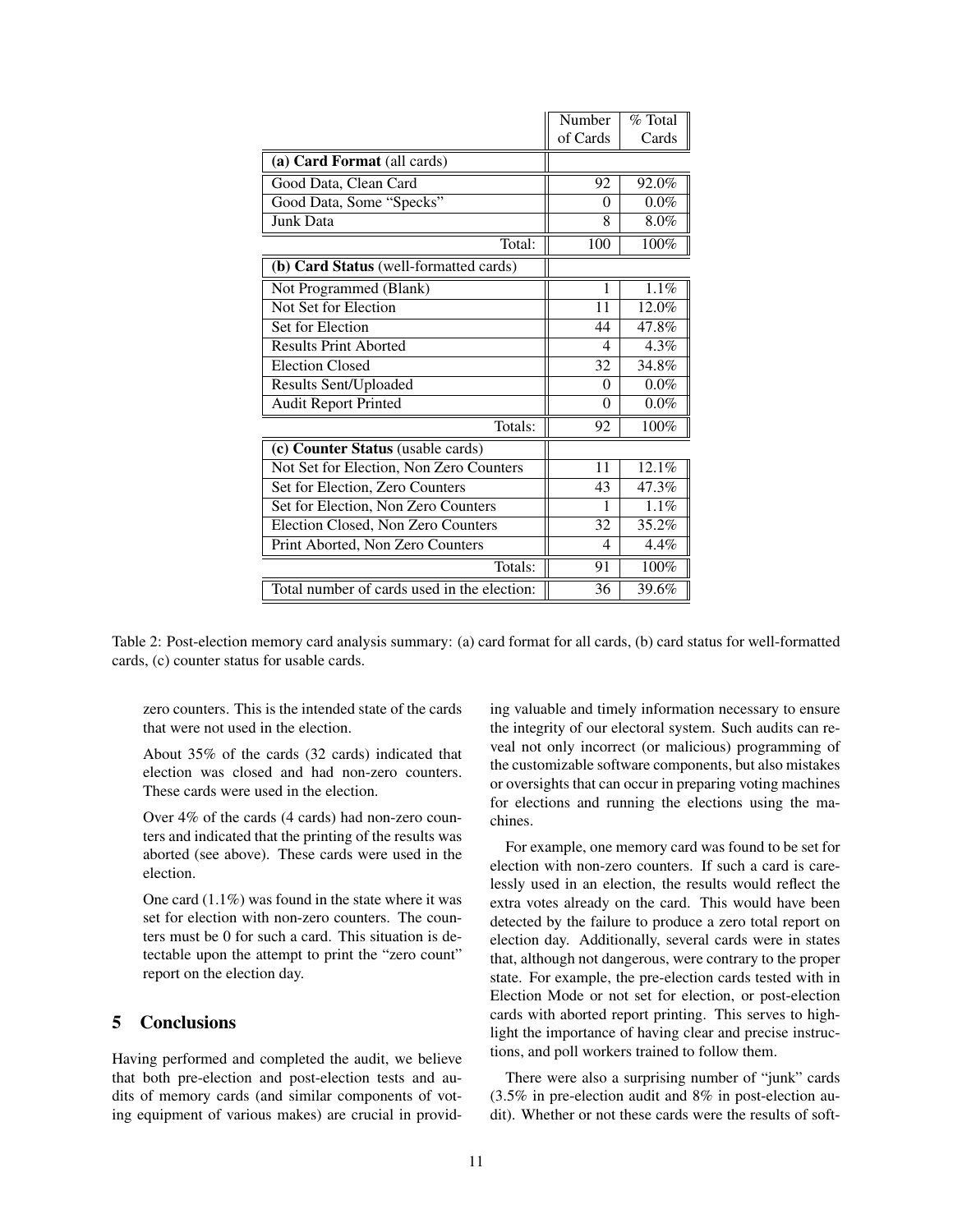|                                             | Number   | % Total  |
|---------------------------------------------|----------|----------|
|                                             | of Cards | Cards    |
| (a) Card Format (all cards)                 |          |          |
| Good Data, Clean Card                       | 92       | 92.0%    |
| Good Data, Some "Specks"                    | 0        | $0.0\%$  |
| Junk Data                                   | 8        | 8.0%     |
| Total:                                      | 100      | 100%     |
| (b) Card Status (well-formatted cards)      |          |          |
| Not Programmed (Blank)                      | 1        | 1.1%     |
| Not Set for Election                        | 11       | 12.0%    |
| Set for Election                            | 44       | 47.8%    |
| <b>Results Print Aborted</b>                | 4        | 4.3%     |
| <b>Election Closed</b>                      | 32       | 34.8%    |
| <b>Results Sent/Uploaded</b>                | $\Omega$ | $0.0\%$  |
| <b>Audit Report Printed</b>                 | $\theta$ | $0.0\%$  |
| Totals:                                     | 92       | 100%     |
| (c) Counter Status (usable cards)           |          |          |
| Not Set for Election, Non Zero Counters     | 11       | $12.1\%$ |
| Set for Election, Zero Counters             | 43       | 47.3%    |
| Set for Election, Non Zero Counters         | 1        | $1.1\%$  |
| Election Closed, Non Zero Counters          | 32       | 35.2%    |
| Print Aborted, Non Zero Counters            | 4        | 4.4%     |
| Totals:                                     | 91       | 100%     |
| Total number of cards used in the election: | 36       | 39.6%    |

<span id="page-10-0"></span>Table 2: Post-election memory card analysis summary: (a) card format for all cards, (b) card status for well-formatted cards, (c) counter status for usable cards.

zero counters. This is the intended state of the cards that were not used in the election.

About 35% of the cards (32 cards) indicated that election was closed and had non-zero counters. These cards were used in the election.

Over 4% of the cards (4 cards) had non-zero counters and indicated that the printing of the results was aborted (see above). These cards were used in the election.

One card (1.1%) was found in the state where it was set for election with non-zero counters. The counters must be 0 for such a card. This situation is detectable upon the attempt to print the "zero count" report on the election day.

### 5 Conclusions

Having performed and completed the audit, we believe that both pre-election and post-election tests and audits of memory cards (and similar components of voting equipment of various makes) are crucial in providing valuable and timely information necessary to ensure the integrity of our electoral system. Such audits can reveal not only incorrect (or malicious) programming of the customizable software components, but also mistakes or oversights that can occur in preparing voting machines for elections and running the elections using the machines.

For example, one memory card was found to be set for election with non-zero counters. If such a card is carelessly used in an election, the results would reflect the extra votes already on the card. This would have been detected by the failure to produce a zero total report on election day. Additionally, several cards were in states that, although not dangerous, were contrary to the proper state. For example, the pre-election cards tested with in Election Mode or not set for election, or post-election cards with aborted report printing. This serves to highlight the importance of having clear and precise instructions, and poll workers trained to follow them.

There were also a surprising number of "junk" cards (3.5% in pre-election audit and 8% in post-election audit). Whether or not these cards were the results of soft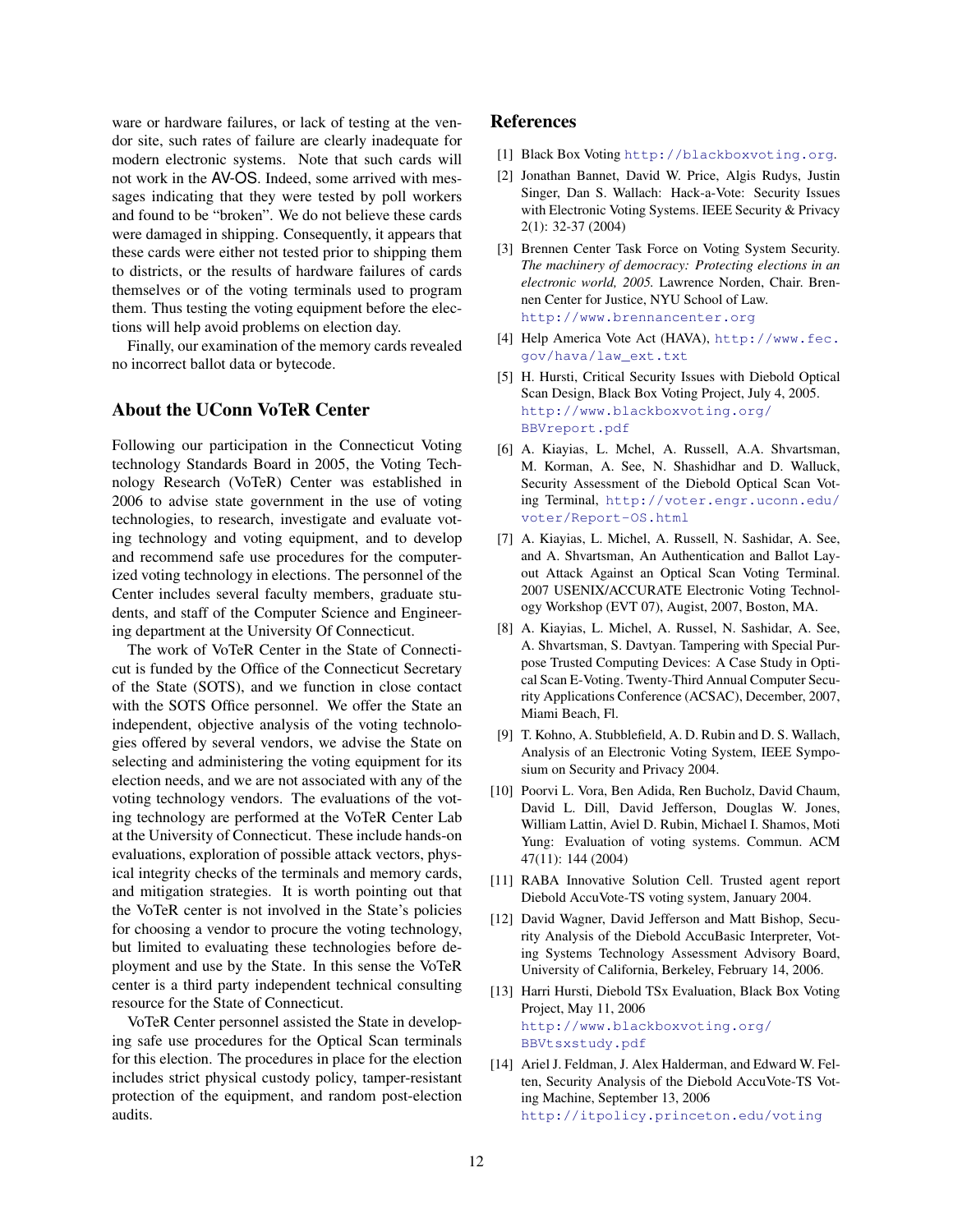ware or hardware failures, or lack of testing at the vendor site, such rates of failure are clearly inadequate for modern electronic systems. Note that such cards will not work in the AV-OS. Indeed, some arrived with messages indicating that they were tested by poll workers and found to be "broken". We do not believe these cards were damaged in shipping. Consequently, it appears that these cards were either not tested prior to shipping them to districts, or the results of hardware failures of cards themselves or of the voting terminals used to program them. Thus testing the voting equipment before the elections will help avoid problems on election day.

Finally, our examination of the memory cards revealed no incorrect ballot data or bytecode.

# About the UConn VoTeR Center

Following our participation in the Connecticut Voting technology Standards Board in 2005, the Voting Technology Research (VoTeR) Center was established in 2006 to advise state government in the use of voting technologies, to research, investigate and evaluate voting technology and voting equipment, and to develop and recommend safe use procedures for the computerized voting technology in elections. The personnel of the Center includes several faculty members, graduate students, and staff of the Computer Science and Engineering department at the University Of Connecticut.

The work of VoTeR Center in the State of Connecticut is funded by the Office of the Connecticut Secretary of the State (SOTS), and we function in close contact with the SOTS Office personnel. We offer the State an independent, objective analysis of the voting technologies offered by several vendors, we advise the State on selecting and administering the voting equipment for its election needs, and we are not associated with any of the voting technology vendors. The evaluations of the voting technology are performed at the VoTeR Center Lab at the University of Connecticut. These include hands-on evaluations, exploration of possible attack vectors, physical integrity checks of the terminals and memory cards, and mitigation strategies. It is worth pointing out that the VoTeR center is not involved in the State's policies for choosing a vendor to procure the voting technology, but limited to evaluating these technologies before deployment and use by the State. In this sense the VoTeR center is a third party independent technical consulting resource for the State of Connecticut.

VoTeR Center personnel assisted the State in developing safe use procedures for the Optical Scan terminals for this election. The procedures in place for the election includes strict physical custody policy, tamper-resistant protection of the equipment, and random post-election audits.

### References

- <span id="page-11-13"></span>[1] Black Box Voting <http://blackboxvoting.org>.
- <span id="page-11-2"></span>[2] Jonathan Bannet, David W. Price, Algis Rudys, Justin Singer, Dan S. Wallach: Hack-a-Vote: Security Issues with Electronic Voting Systems. IEEE Security & Privacy 2(1): 32-37 (2004)
- <span id="page-11-1"></span>[3] Brennen Center Task Force on Voting System Security. *The machinery of democracy: Protecting elections in an electronic world, 2005.* Lawrence Norden, Chair. Brennen Center for Justice, NYU School of Law. <http://www.brennancenter.org>
- <span id="page-11-0"></span>[4] Help America Vote Act (HAVA), [http://www.fec.](http://www.fec.gov/hava/law_ext.txt) [gov/hava/law\\_ext.txt](http://www.fec.gov/hava/law_ext.txt)
- <span id="page-11-6"></span>[5] H. Hursti, Critical Security Issues with Diebold Optical Scan Design, Black Box Voting Project, July 4, 2005. [http://www.blackboxvoting.org/](http://www.blackboxvoting.org/BBVreport.pdf) [BBVreport.pdf](http://www.blackboxvoting.org/BBVreport.pdf)
- <span id="page-11-12"></span>[6] A. Kiayias, L. Mchel, A. Russell, A.A. Shvartsman, M. Korman, A. See, N. Shashidhar and D. Walluck, Security Assessment of the Diebold Optical Scan Voting Terminal, [http://voter.engr.uconn.edu/](http://voter.engr.uconn.edu/voter/Report-OS.html) [voter/Report-OS.html](http://voter.engr.uconn.edu/voter/Report-OS.html)
- <span id="page-11-10"></span>[7] A. Kiayias, L. Michel, A. Russell, N. Sashidar, A. See, and A. Shvartsman, An Authentication and Ballot Layout Attack Against an Optical Scan Voting Terminal. 2007 USENIX/ACCURATE Electronic Voting Technology Workshop (EVT 07), Augist, 2007, Boston, MA.
- <span id="page-11-11"></span>[8] A. Kiayias, L. Michel, A. Russel, N. Sashidar, A. See, A. Shvartsman, S. Davtyan. Tampering with Special Purpose Trusted Computing Devices: A Case Study in Optical Scan E-Voting. Twenty-Third Annual Computer Security Applications Conference (ACSAC), December, 2007, Miami Beach, Fl.
- <span id="page-11-3"></span>[9] T. Kohno, A. Stubblefield, A. D. Rubin and D. S. Wallach, Analysis of an Electronic Voting System, IEEE Symposium on Security and Privacy 2004.
- <span id="page-11-4"></span>[10] Poorvi L. Vora, Ben Adida, Ren Bucholz, David Chaum, David L. Dill, David Jefferson, Douglas W. Jones, William Lattin, Aviel D. Rubin, Michael I. Shamos, Moti Yung: Evaluation of voting systems. Commun. ACM 47(11): 144 (2004)
- <span id="page-11-5"></span>[11] RABA Innovative Solution Cell. Trusted agent report Diebold AccuVote-TS voting system, January 2004.
- <span id="page-11-8"></span>[12] David Wagner, David Jefferson and Matt Bishop, Security Analysis of the Diebold AccuBasic Interpreter, Voting Systems Technology Assessment Advisory Board, University of California, Berkeley, February 14, 2006.
- <span id="page-11-7"></span>[13] Harri Hursti, Diebold TSx Evaluation, Black Box Voting Project, May 11, 2006 [http://www.blackboxvoting.org/](http://www.blackboxvoting.org/BBVtsxstudy.pdf) [BBVtsxstudy.pdf](http://www.blackboxvoting.org/BBVtsxstudy.pdf)
- <span id="page-11-9"></span>[14] Ariel J. Feldman, J. Alex Halderman, and Edward W. Felten, Security Analysis of the Diebold AccuVote-TS Voting Machine, September 13, 2006 <http://itpolicy.princeton.edu/voting>